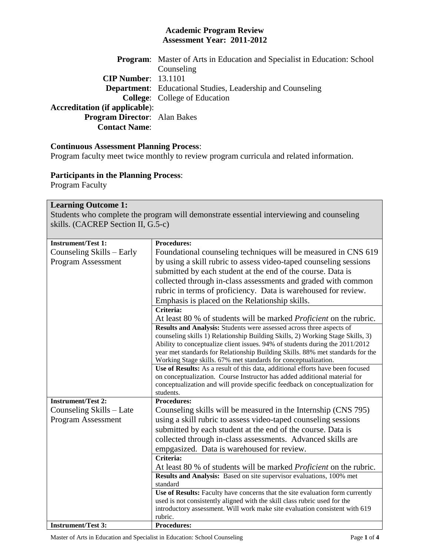#### **Academic Program Review Assessment Year: 2011-2012**

|                                       | <b>Program:</b> Master of Arts in Education and Specialist in Education: School |
|---------------------------------------|---------------------------------------------------------------------------------|
|                                       | Counseling                                                                      |
| $CIP$ Number: $13.1101$               |                                                                                 |
|                                       | <b>Department:</b> Educational Studies, Leadership and Counseling               |
|                                       | <b>College:</b> College of Education                                            |
| <b>Accreditation (if applicable):</b> |                                                                                 |
| <b>Program Director:</b> Alan Bakes   |                                                                                 |
| <b>Contact Name:</b>                  |                                                                                 |

### **Continuous Assessment Planning Process**:

Program faculty meet twice monthly to review program curricula and related information.

## **Participants in the Planning Process**:

Program Faculty

### **Learning Outcome 1:**

Students who complete the program will demonstrate essential interviewing and counseling skills. (CACREP Section II, G.5-c)

| <b>Instrument/Test 1:</b> | <b>Procedures:</b>                                                                                                                                         |
|---------------------------|------------------------------------------------------------------------------------------------------------------------------------------------------------|
| Counseling Skills – Early | Foundational counseling techniques will be measured in CNS 619                                                                                             |
| Program Assessment        | by using a skill rubric to assess video-taped counseling sessions                                                                                          |
|                           | submitted by each student at the end of the course. Data is                                                                                                |
|                           | collected through in-class assessments and graded with common                                                                                              |
|                           | rubric in terms of proficiency. Data is warehoused for review.                                                                                             |
|                           | Emphasis is placed on the Relationship skills.                                                                                                             |
|                           | Criteria:                                                                                                                                                  |
|                           | At least 80 % of students will be marked <i>Proficient</i> on the rubric.                                                                                  |
|                           | Results and Analysis: Students were assessed across three aspects of                                                                                       |
|                           | counseling skills 1) Relationship Building Skills, 2) Working Stage Skills, 3)                                                                             |
|                           | Ability to conceptualize client issues. 94% of students during the 2011/2012                                                                               |
|                           | year met standards for Relationship Building Skills. 88% met standards for the                                                                             |
|                           | Working Stage skills. 67% met standards for conceptualization.                                                                                             |
|                           | Use of Results: As a result of this data, additional efforts have been focused                                                                             |
|                           | on conceptualization. Course Instructor has added additional material for<br>conceptualization and will provide specific feedback on conceptualization for |
|                           | students.                                                                                                                                                  |
| <b>Instrument/Test 2:</b> | <b>Procedures:</b>                                                                                                                                         |
| Counseling Skills - Late  | Counseling skills will be measured in the Internship (CNS 795)                                                                                             |
| Program Assessment        | using a skill rubric to assess video-taped counseling sessions                                                                                             |
|                           | submitted by each student at the end of the course. Data is                                                                                                |
|                           | collected through in-class assessments. Advanced skills are                                                                                                |
|                           | empgasized. Data is warehoused for review.                                                                                                                 |
|                           | Criteria:                                                                                                                                                  |
|                           | At least 80 % of students will be marked <i>Proficient</i> on the rubric.                                                                                  |
|                           | Results and Analysis: Based on site supervisor evaluations, 100% met                                                                                       |
|                           | standard                                                                                                                                                   |
|                           | Use of Results: Faculty have concerns that the site evaluation form currently                                                                              |
|                           | used is not consistently aligned with the skill class rubric used for the                                                                                  |
|                           | introductory assessment. Will work make site evaluation consistent with 619                                                                                |
|                           | rubric.                                                                                                                                                    |
| <b>Instrument/Test 3:</b> | <b>Procedures:</b>                                                                                                                                         |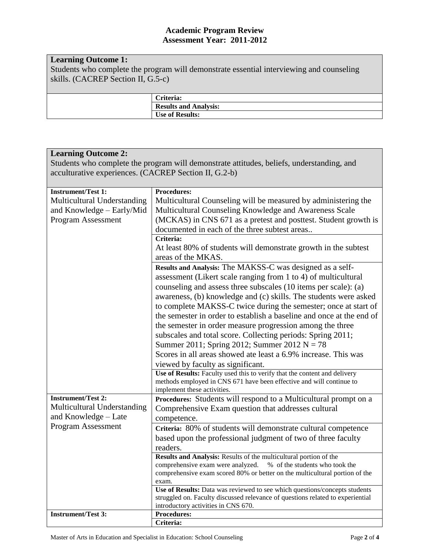#### **Academic Program Review Assessment Year: 2011-2012**

# **Learning Outcome 1:**

Students who complete the program will demonstrate essential interviewing and counseling skills. (CACREP Section II, G.5-c)

| Criteria:                    |
|------------------------------|
| <b>Results and Analysis:</b> |
| <b>Use of Results:</b>       |
|                              |

| <b>Learning Outcome 2:</b>                                                                |                                                                                       |  |
|-------------------------------------------------------------------------------------------|---------------------------------------------------------------------------------------|--|
| Students who complete the program will demonstrate attitudes, beliefs, understanding, and |                                                                                       |  |
| acculturative experiences. (CACREP Section II, G.2-b)                                     |                                                                                       |  |
|                                                                                           |                                                                                       |  |
| <b>Instrument/Test 1:</b>                                                                 | <b>Procedures:</b>                                                                    |  |
| Multicultural Understanding                                                               | Multicultural Counseling will be measured by administering the                        |  |
| and Knowledge – Early/Mid                                                                 | Multicultural Counseling Knowledge and Awareness Scale                                |  |
| Program Assessment                                                                        | (MCKAS) in CNS 671 as a pretest and posttest. Student growth is                       |  |
|                                                                                           | documented in each of the three subtest areas<br>Criteria:                            |  |
|                                                                                           |                                                                                       |  |
|                                                                                           | At least 80% of students will demonstrate growth in the subtest<br>areas of the MKAS. |  |
|                                                                                           | Results and Analysis: The MAKSS-C was designed as a self-                             |  |
|                                                                                           | assessment (Likert scale ranging from 1 to 4) of multicultural                        |  |
|                                                                                           | counseling and assess three subscales (10 items per scale): (a)                       |  |
|                                                                                           | awareness, (b) knowledge and (c) skills. The students were asked                      |  |
|                                                                                           | to complete MAKSS-C twice during the semester; once at start of                       |  |
|                                                                                           | the semester in order to establish a baseline and once at the end of                  |  |
|                                                                                           | the semester in order measure progression among the three                             |  |
|                                                                                           | subscales and total score. Collecting periods: Spring 2011;                           |  |
|                                                                                           | Summer 2011; Spring 2012; Summer 2012 N = 78                                          |  |
|                                                                                           | Scores in all areas showed ate least a 6.9% increase. This was                        |  |
|                                                                                           | viewed by faculty as significant.                                                     |  |
|                                                                                           | Use of Results: Faculty used this to verify that the content and delivery             |  |
|                                                                                           | methods employed in CNS 671 have been effective and will continue to                  |  |
|                                                                                           | implement these activities.                                                           |  |
| <b>Instrument/Test 2:</b>                                                                 | Procedures: Students will respond to a Multicultural prompt on a                      |  |
| Multicultural Understanding                                                               | Comprehensive Exam question that addresses cultural                                   |  |
| and Knowledge - Late                                                                      | competence.                                                                           |  |
| Program Assessment                                                                        | Criteria: 80% of students will demonstrate cultural competence                        |  |
|                                                                                           | based upon the professional judgment of two of three faculty                          |  |
|                                                                                           | readers.                                                                              |  |
|                                                                                           | Results and Analysis: Results of the multicultural portion of the                     |  |
|                                                                                           | comprehensive exam were analyzed. % of the students who took the                      |  |
|                                                                                           | comprehensive exam scored 80% or better on the multicultural portion of the<br>exam.  |  |
|                                                                                           | Use of Results: Data was reviewed to see which questions/concepts students            |  |
|                                                                                           | struggled on. Faculty discussed relevance of questions related to experiential        |  |
|                                                                                           | introductory activities in CNS 670.                                                   |  |
| <b>Instrument/Test 3:</b>                                                                 | <b>Procedures:</b>                                                                    |  |
|                                                                                           | Criteria:                                                                             |  |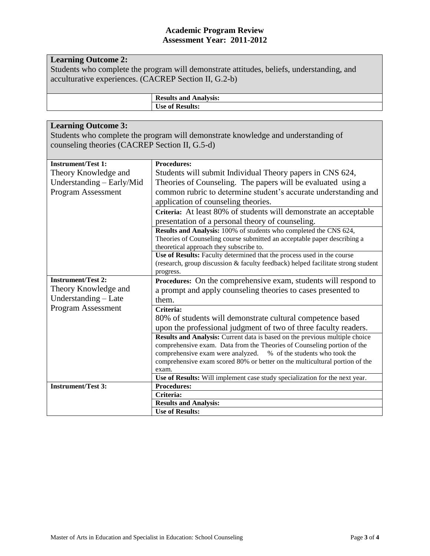## **Learning Outcome 2:**

Students who complete the program will demonstrate attitudes, beliefs, understanding, and acculturative experiences. (CACREP Section II, G.2-b)

> **Results and Analysis: Use of Results:**

| <b>Learning Outcome 3:</b><br>Students who complete the program will demonstrate knowledge and understanding of<br>counseling theories (CACREP Section II, G.5-d) |                                                                                                                                                        |  |
|-------------------------------------------------------------------------------------------------------------------------------------------------------------------|--------------------------------------------------------------------------------------------------------------------------------------------------------|--|
| <b>Instrument/Test 1:</b>                                                                                                                                         | <b>Procedures:</b>                                                                                                                                     |  |
| Theory Knowledge and                                                                                                                                              | Students will submit Individual Theory papers in CNS 624,                                                                                              |  |
| Understanding - Early/Mid                                                                                                                                         | Theories of Counseling. The papers will be evaluated using a                                                                                           |  |
| <b>Program Assessment</b>                                                                                                                                         | common rubric to determine student's accurate understanding and                                                                                        |  |
|                                                                                                                                                                   | application of counseling theories.                                                                                                                    |  |
|                                                                                                                                                                   | Criteria: At least 80% of students will demonstrate an acceptable                                                                                      |  |
|                                                                                                                                                                   | presentation of a personal theory of counseling.                                                                                                       |  |
|                                                                                                                                                                   | Results and Analysis: 100% of students who completed the CNS 624,                                                                                      |  |
|                                                                                                                                                                   | Theories of Counseling course submitted an acceptable paper describing a                                                                               |  |
|                                                                                                                                                                   | theoretical approach they subscribe to.                                                                                                                |  |
|                                                                                                                                                                   | Use of Results: Faculty determined that the process used in the course                                                                                 |  |
|                                                                                                                                                                   | (research, group discussion & faculty feedback) helped facilitate strong student<br>progress.                                                          |  |
| <b>Instrument/Test 2:</b>                                                                                                                                         | Procedures: On the comprehensive exam, students will respond to                                                                                        |  |
| Theory Knowledge and                                                                                                                                              | a prompt and apply counseling theories to cases presented to                                                                                           |  |
| Understanding - Late                                                                                                                                              | them.                                                                                                                                                  |  |
| Program Assessment                                                                                                                                                | Criteria:                                                                                                                                              |  |
|                                                                                                                                                                   | 80% of students will demonstrate cultural competence based                                                                                             |  |
|                                                                                                                                                                   |                                                                                                                                                        |  |
|                                                                                                                                                                   | upon the professional judgment of two of three faculty readers.                                                                                        |  |
|                                                                                                                                                                   | Results and Analysis: Current data is based on the previous multiple choice<br>comprehensive exam. Data from the Theories of Counseling portion of the |  |
|                                                                                                                                                                   | comprehensive exam were analyzed. % of the students who took the                                                                                       |  |
|                                                                                                                                                                   | comprehensive exam scored 80% or better on the multicultural portion of the                                                                            |  |
|                                                                                                                                                                   | exam.                                                                                                                                                  |  |
|                                                                                                                                                                   | Use of Results: Will implement case study specialization for the next year.                                                                            |  |
| <b>Instrument/Test 3:</b>                                                                                                                                         | <b>Procedures:</b>                                                                                                                                     |  |
|                                                                                                                                                                   | Criteria:                                                                                                                                              |  |
|                                                                                                                                                                   | <b>Results and Analysis:</b>                                                                                                                           |  |
|                                                                                                                                                                   | <b>Use of Results:</b>                                                                                                                                 |  |